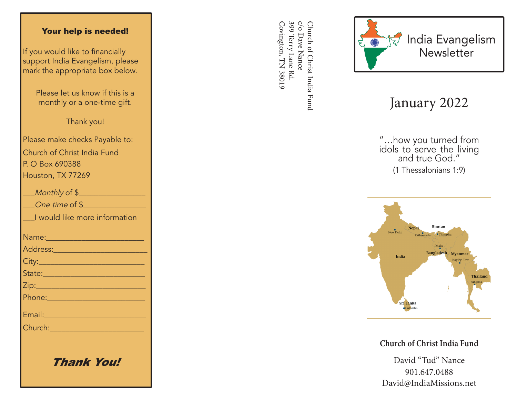## Your help is needed!

If you would like to financially support India Evangelism, please mark the appropriate box below.

> Please let us know if this is a monthly or a one-time gift.

> > Thank you!

Please make checks Payable to: Church of Christ India Fund P. O Box 690388 Houston, TX 77269

| Monthly of \$                                                                                                 |
|---------------------------------------------------------------------------------------------------------------|
| One time of \$                                                                                                |
| I would like more information                                                                                 |
|                                                                                                               |
|                                                                                                               |
|                                                                                                               |
| State: 2008 - 2008 - 2010 - 2011 - 2012 - 2012 - 2012 - 2012 - 2014 - 2014 - 2014 - 2014 - 2014 - 2014 - 2014 |
|                                                                                                               |
|                                                                                                               |
| Email: 2008 - 2008 - 2014 - 2014 - 2014 - 2014 - 2014 - 2014 - 2014 - 2014 - 2014 - 2014 - 2014 - 2014 - 2014 |
| Church: 2008 2009 2009 2010 2021 2022 2023 2024 2022 2023 2024 2022 2023 2024 2025 2026 2027 2028 20          |
|                                                                                                               |
|                                                                                                               |

Thank You!

399 Terry Lane Rd c/o Dave Nance Covington, TN 38019 Covington, TN 38019 399 Terry Lane Rd. c/o Dave Nance Church of Christ India Fund Church of Christ India Fund



## January 2022

"…how you turned from idols to serve the living and true God." (1 Thessalonians 1:9)



**Church of Christ India Fund**

David "Tud" Nance 901.647.0488 David@IndiaMissions.net